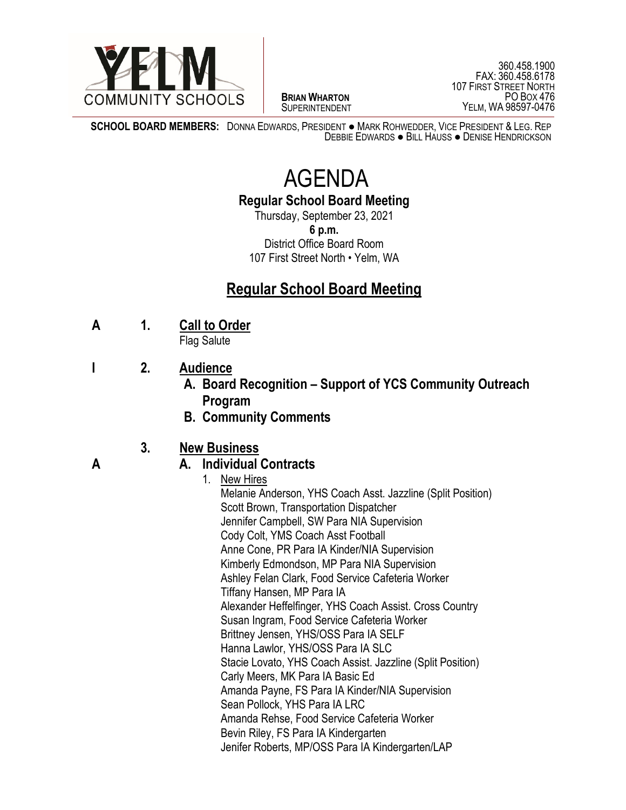

 $\overline{a}$ **BRIAN WHARTON** SUPERINTENDENT

360.458.1900 FAX: 360.458.6178 107 FIRST STREET NORTH PO BOX 476 YELM, WA 98597-0476

**SCHOOL BOARD MEMBERS:** DONNA EDWARDS, PRESIDENT ● MARK ROHWEDDER, VICE PRESIDENT & LEG. REP DEBBIE EDWARDS ● BILL HAUSS ● DENISE HENDRICKSON

# AGENDA

**Regular School Board Meeting**

Thursday, September 23, 2021 **6 p.m.** District Office Board Room 107 First Street North • Yelm, WA

### **Regular School Board Meeting**

**A 1. Call to Order**

Flag Salute

- **I 2. Audience**
	- **A. Board Recognition – Support of YCS Community Outreach Program**
	- **B. Community Comments**

### **3. New Business**

### **A A. Individual Contracts**

1. New Hires Melanie Anderson, YHS Coach Asst. Jazzline (Split Position) Scott Brown, Transportation Dispatcher Jennifer Campbell, SW Para NIA Supervision Cody Colt, YMS Coach Asst Football Anne Cone, PR Para IA Kinder/NIA Supervision Kimberly Edmondson, MP Para NIA Supervision Ashley Felan Clark, Food Service Cafeteria Worker Tiffany Hansen, MP Para IA Alexander Heffelfinger, YHS Coach Assist. Cross Country Susan Ingram, Food Service Cafeteria Worker Brittney Jensen, YHS/OSS Para IA SELF Hanna Lawlor, YHS/OSS Para IA SLC Stacie Lovato, YHS Coach Assist. Jazzline (Split Position) Carly Meers, MK Para IA Basic Ed Amanda Payne, FS Para IA Kinder/NIA Supervision Sean Pollock, YHS Para IA LRC Amanda Rehse, Food Service Cafeteria Worker Bevin Riley, FS Para IA Kindergarten Jenifer Roberts, MP/OSS Para IA Kindergarten/LAP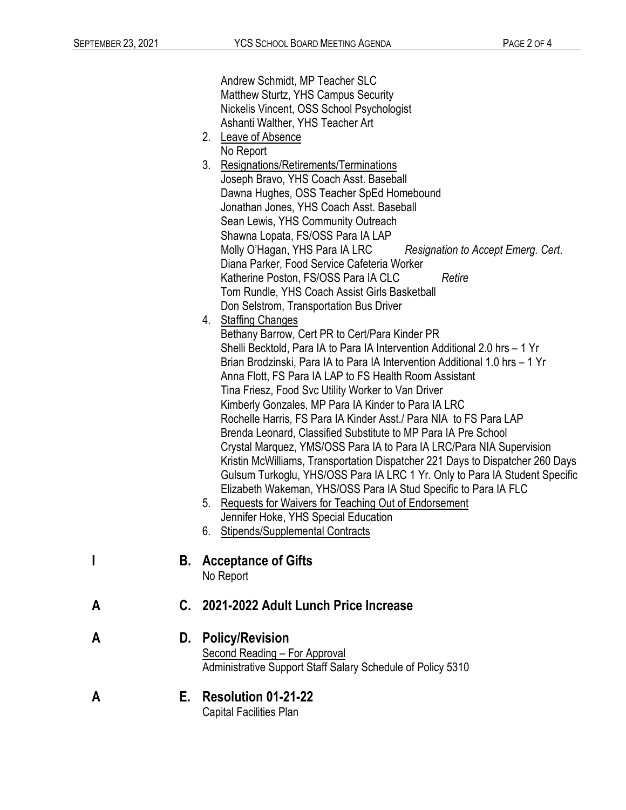|   |    | Andrew Schmidt, MP Teacher SLC<br>Matthew Sturtz, YHS Campus Security<br>Nickelis Vincent, OSS School Psychologist<br>Ashanti Walther, YHS Teacher Art                                                                                                                                                                                                                                                                                                                                                                                                                                                                                                                                                                                                                                                                                                                                                                                                                                                                   |  |  |
|---|----|--------------------------------------------------------------------------------------------------------------------------------------------------------------------------------------------------------------------------------------------------------------------------------------------------------------------------------------------------------------------------------------------------------------------------------------------------------------------------------------------------------------------------------------------------------------------------------------------------------------------------------------------------------------------------------------------------------------------------------------------------------------------------------------------------------------------------------------------------------------------------------------------------------------------------------------------------------------------------------------------------------------------------|--|--|
|   |    | 2. Leave of Absence                                                                                                                                                                                                                                                                                                                                                                                                                                                                                                                                                                                                                                                                                                                                                                                                                                                                                                                                                                                                      |  |  |
|   |    | No Report<br>3.<br>Resignations/Retirements/Terminations<br>Joseph Bravo, YHS Coach Asst. Baseball<br>Dawna Hughes, OSS Teacher SpEd Homebound<br>Jonathan Jones, YHS Coach Asst. Baseball<br>Sean Lewis, YHS Community Outreach<br>Shawna Lopata, FS/OSS Para IA LAP<br>Molly O'Hagan, YHS Para IA LRC<br>Resignation to Accept Emerg. Cert.<br>Diana Parker, Food Service Cafeteria Worker<br>Retire<br>Katherine Poston, FS/OSS Para IA CLC<br>Tom Rundle, YHS Coach Assist Girls Basketball<br>Don Selstrom, Transportation Bus Driver                                                                                                                                                                                                                                                                                                                                                                                                                                                                               |  |  |
|   |    | 4. Staffing Changes<br>Bethany Barrow, Cert PR to Cert/Para Kinder PR<br>Shelli Becktold, Para IA to Para IA Intervention Additional 2.0 hrs - 1 Yr<br>Brian Brodzinski, Para IA to Para IA Intervention Additional 1.0 hrs – 1 Yr<br>Anna Flott, FS Para IA LAP to FS Health Room Assistant<br>Tina Friesz, Food Svc Utility Worker to Van Driver<br>Kimberly Gonzales, MP Para IA Kinder to Para IA LRC<br>Rochelle Harris, FS Para IA Kinder Asst./ Para NIA to FS Para LAP<br>Brenda Leonard, Classified Substitute to MP Para IA Pre School<br>Crystal Marquez, YMS/OSS Para IA to Para IA LRC/Para NIA Supervision<br>Kristin McWilliams, Transportation Dispatcher 221 Days to Dispatcher 260 Days<br>Gulsum Turkoglu, YHS/OSS Para IA LRC 1 Yr. Only to Para IA Student Specific<br>Elizabeth Wakeman, YHS/OSS Para IA Stud Specific to Para IA FLC<br><b>Requests for Waivers for Teaching Out of Endorsement</b><br>5.<br>Jennifer Hoke, YHS Special Education<br><b>Stipends/Supplemental Contracts</b><br>6. |  |  |
|   | В. | <b>Acceptance of Gifts</b><br>No Report                                                                                                                                                                                                                                                                                                                                                                                                                                                                                                                                                                                                                                                                                                                                                                                                                                                                                                                                                                                  |  |  |
| Α |    | C. 2021-2022 Adult Lunch Price Increase                                                                                                                                                                                                                                                                                                                                                                                                                                                                                                                                                                                                                                                                                                                                                                                                                                                                                                                                                                                  |  |  |
| Α | D. | <b>Policy/Revision</b><br>Second Reading - For Approval<br>Administrative Support Staff Salary Schedule of Policy 5310                                                                                                                                                                                                                                                                                                                                                                                                                                                                                                                                                                                                                                                                                                                                                                                                                                                                                                   |  |  |
| Α | Е. | <b>Resolution 01-21-22</b>                                                                                                                                                                                                                                                                                                                                                                                                                                                                                                                                                                                                                                                                                                                                                                                                                                                                                                                                                                                               |  |  |

Capital Facilities Plan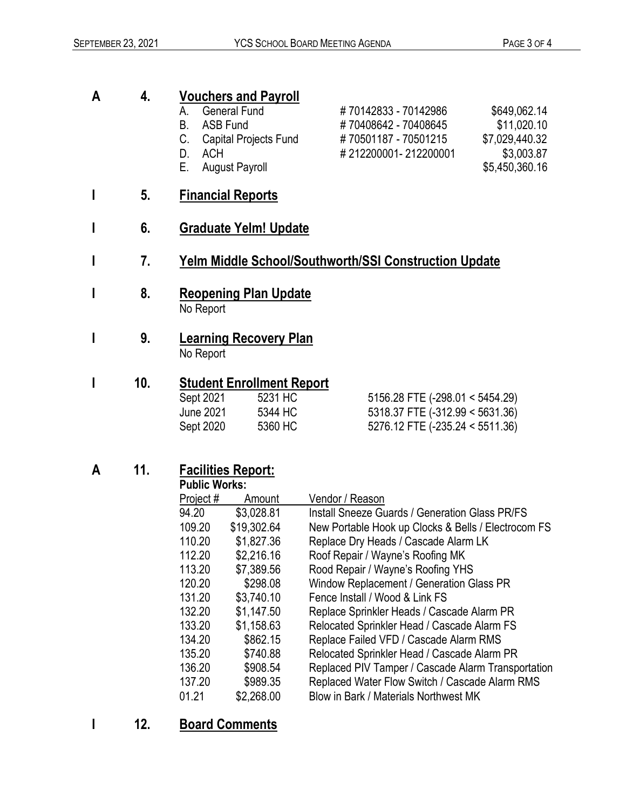## **A 4. Vouchers and Payroll**

- A. General Fund # 70142833 70142986 \$649,062.14
- 
- 
- 
- E. August Payroll **E.** August Payroll
- **I 5. Financial Reports**
- **I 6. Graduate Yelm! Update**
- **I 7. Yelm Middle School/Southworth/SSI Construction Update**
- **I 8. Reopening Plan Update**  No Report
- **I 9. Learning Recovery Plan** No Report
- **I 10. Student Enrollment Report**

| Sept 2021 | 5231 HC | $5156.28$ FTE (-298.01 < 5454.29)   |
|-----------|---------|-------------------------------------|
| June 2021 | 5344 HC | $5318.37$ FTE $(-312.99 < 5631.36)$ |
| Sept 2020 | 5360 HC | $5276.12$ FTE (-235.24 < 5511.36)   |
|           |         |                                     |

### **A 11. Facilities Report:**

| <b>Public Works:</b> |             |                                                     |
|----------------------|-------------|-----------------------------------------------------|
| Project#             | Amount      | Vendor / Reason                                     |
| 94.20                | \$3,028.81  | Install Sneeze Guards / Generation Glass PR/FS      |
| 109.20               | \$19,302.64 | New Portable Hook up Clocks & Bells / Electrocom FS |
| 110.20               | \$1,827.36  | Replace Dry Heads / Cascade Alarm LK                |
| 112.20               | \$2,216.16  | Roof Repair / Wayne's Roofing MK                    |
| 113.20               | \$7,389.56  | Rood Repair / Wayne's Roofing YHS                   |
| 120.20               | \$298.08    | Window Replacement / Generation Glass PR            |
| 131.20               | \$3,740.10  | Fence Install / Wood & Link FS                      |
| 132.20               | \$1,147.50  | Replace Sprinkler Heads / Cascade Alarm PR          |
| 133.20               | \$1,158.63  | Relocated Sprinkler Head / Cascade Alarm FS         |
| 134.20               | \$862.15    | Replace Failed VFD / Cascade Alarm RMS              |
| 135.20               | \$740.88    | Relocated Sprinkler Head / Cascade Alarm PR         |
| 136.20               | \$908.54    | Replaced PIV Tamper / Cascade Alarm Transportation  |
| 137.20               | \$989.35    | Replaced Water Flow Switch / Cascade Alarm RMS      |
| 01.21                | \$2,268.00  | Blow in Bark / Materials Northwest MK               |
|                      |             |                                                     |

### **I 12. Board Comments**

- B. ASB Fund  $\text{\# } 70408642 70408645$  \$11,020.10 C. Capital Projects Fund # 70501187 - 70501215 \$7,029,440.32 D. ACH  $\# 212200001 - 212200001$  \$3,003.87
	-